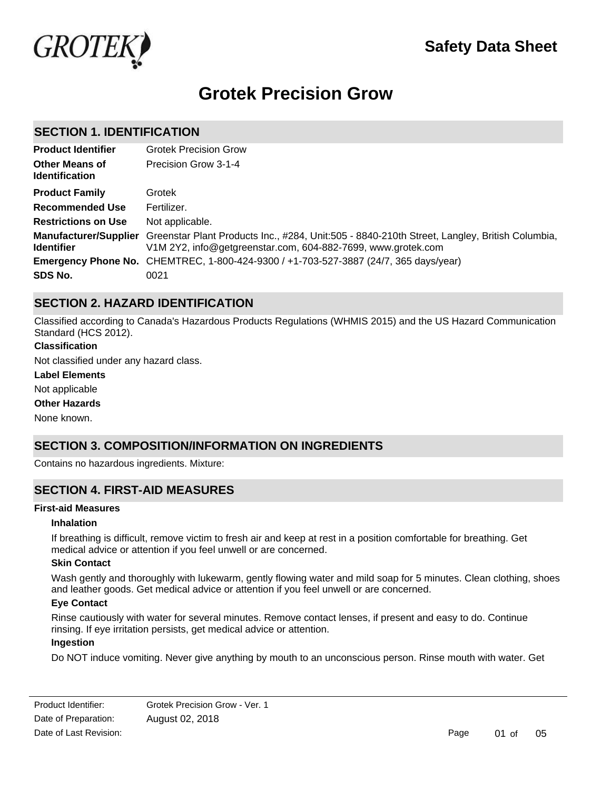

# **Grotek Precision Grow**

### **SECTION 1. IDENTIFICATION**

| <b>Product Identifier</b>                      | <b>Grotek Precision Grow</b>                                                                                                                                                        |
|------------------------------------------------|-------------------------------------------------------------------------------------------------------------------------------------------------------------------------------------|
| <b>Other Means of</b><br><b>Identification</b> | Precision Grow 3-1-4                                                                                                                                                                |
| <b>Product Family</b>                          | Grotek                                                                                                                                                                              |
| <b>Recommended Use</b>                         | Fertilizer.                                                                                                                                                                         |
| <b>Restrictions on Use</b>                     | Not applicable.                                                                                                                                                                     |
| <b>Identifier</b>                              | Manufacturer/Supplier Greenstar Plant Products Inc., #284, Unit:505 - 8840-210th Street, Langley, British Columbia,<br>V1M 2Y2, info@getgreenstar.com, 604-882-7699, www.grotek.com |
|                                                | Emergency Phone No. CHEMTREC, 1-800-424-9300 / +1-703-527-3887 (24/7, 365 days/year)                                                                                                |
| SDS No.                                        | 0021                                                                                                                                                                                |

# **SECTION 2. HAZARD IDENTIFICATION**

Classified according to Canada's Hazardous Products Regulations (WHMIS 2015) and the US Hazard Communication Standard (HCS 2012).

### **Classification**

Not classified under any hazard class.

#### **Label Elements**

Not applicable

#### **Other Hazards**

None known.

# **SECTION 3. COMPOSITION/INFORMATION ON INGREDIENTS**

Contains no hazardous ingredients. Mixture:

# **SECTION 4. FIRST-AID MEASURES**

### **First-aid Measures**

#### **Inhalation**

If breathing is difficult, remove victim to fresh air and keep at rest in a position comfortable for breathing. Get medical advice or attention if you feel unwell or are concerned.

### **Skin Contact**

Wash gently and thoroughly with lukewarm, gently flowing water and mild soap for 5 minutes. Clean clothing, shoes and leather goods. Get medical advice or attention if you feel unwell or are concerned.

#### **Eye Contact**

Rinse cautiously with water for several minutes. Remove contact lenses, if present and easy to do. Continue rinsing. If eye irritation persists, get medical advice or attention.

#### **Ingestion**

Do NOT induce vomiting. Never give anything by mouth to an unconscious person. Rinse mouth with water. Get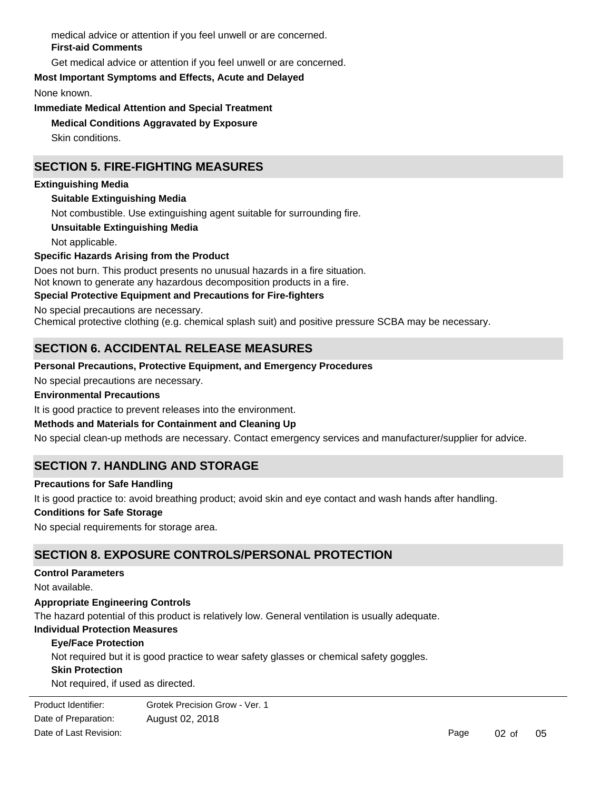medical advice or attention if you feel unwell or are concerned. **First-aid Comments**

Get medical advice or attention if you feel unwell or are concerned.

**Most Important Symptoms and Effects, Acute and Delayed**

None known.

**Immediate Medical Attention and Special Treatment**

# **Medical Conditions Aggravated by Exposure**

Skin conditions.

# **SECTION 5. FIRE-FIGHTING MEASURES**

### **Extinguishing Media**

### **Suitable Extinguishing Media**

Not combustible. Use extinguishing agent suitable for surrounding fire.

**Unsuitable Extinguishing Media**

Not applicable.

### **Specific Hazards Arising from the Product**

Does not burn. This product presents no unusual hazards in a fire situation. Not known to generate any hazardous decomposition products in a fire.

### **Special Protective Equipment and Precautions for Fire-fighters**

No special precautions are necessary.

Chemical protective clothing (e.g. chemical splash suit) and positive pressure SCBA may be necessary.

# **SECTION 6. ACCIDENTAL RELEASE MEASURES**

### **Personal Precautions, Protective Equipment, and Emergency Procedures**

No special precautions are necessary.

### **Environmental Precautions**

It is good practice to prevent releases into the environment.

### **Methods and Materials for Containment and Cleaning Up**

No special clean-up methods are necessary. Contact emergency services and manufacturer/supplier for advice.

# **SECTION 7. HANDLING AND STORAGE**

### **Precautions for Safe Handling**

It is good practice to: avoid breathing product; avoid skin and eye contact and wash hands after handling.

### **Conditions for Safe Storage**

No special requirements for storage area.

### **SECTION 8. EXPOSURE CONTROLS/PERSONAL PROTECTION**

### **Control Parameters**

Not available.

### **Appropriate Engineering Controls**

The hazard potential of this product is relatively low. General ventilation is usually adequate.

### **Individual Protection Measures**

### **Eye/Face Protection**

Not required but it is good practice to wear safety glasses or chemical safety goggles.

### **Skin Protection**

Not required, if used as directed.

**Product Identifier:** Date of Preparation: August 02, 2018 Grotek Precision Grow - Ver. 1 Date of Last Revision: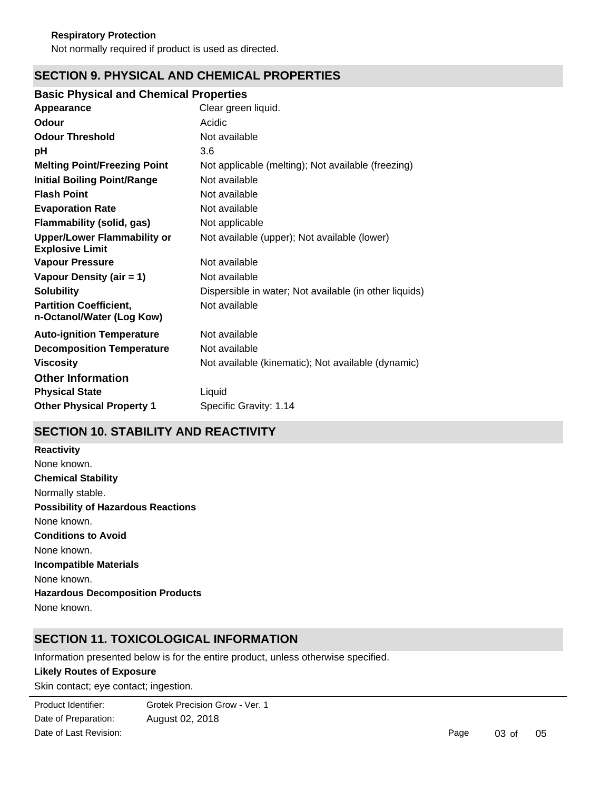Not normally required if product is used as directed.

# **SECTION 9. PHYSICAL AND CHEMICAL PROPERTIES**

### **Basic Physical and Chemical Properties**

| Appearance                                                   | Clear green liquid.                                    |
|--------------------------------------------------------------|--------------------------------------------------------|
| Odour                                                        | Acidic                                                 |
| <b>Odour Threshold</b>                                       | Not available                                          |
| рH                                                           | 3.6                                                    |
| <b>Melting Point/Freezing Point</b>                          | Not applicable (melting); Not available (freezing)     |
| <b>Initial Boiling Point/Range</b>                           | Not available                                          |
| <b>Flash Point</b>                                           | Not available                                          |
| <b>Evaporation Rate</b>                                      | Not available                                          |
| Flammability (solid, gas)                                    | Not applicable                                         |
| <b>Upper/Lower Flammability or</b><br><b>Explosive Limit</b> | Not available (upper); Not available (lower)           |
| <b>Vapour Pressure</b>                                       | Not available                                          |
| Vapour Density (air = 1)                                     | Not available                                          |
| <b>Solubility</b>                                            | Dispersible in water; Not available (in other liquids) |
| <b>Partition Coefficient,</b><br>n-Octanol/Water (Log Kow)   | Not available                                          |
| <b>Auto-ignition Temperature</b>                             | Not available                                          |
| <b>Decomposition Temperature</b>                             | Not available                                          |
| <b>Viscosity</b>                                             | Not available (kinematic); Not available (dynamic)     |
| <b>Other Information</b>                                     |                                                        |
| <b>Physical State</b>                                        | Liquid                                                 |
| <b>Other Physical Property 1</b>                             | Specific Gravity: 1.14                                 |
|                                                              |                                                        |

# **SECTION 10. STABILITY AND REACTIVITY**

**Chemical Stability** Normally stable. **Conditions to Avoid** None known. **Incompatible Materials** None known. **Hazardous Decomposition Products** None known. **Possibility of Hazardous Reactions** None known. **Reactivity** None known.

# **SECTION 11. TOXICOLOGICAL INFORMATION**

Information presented below is for the entire product, unless otherwise specified.

### **Likely Routes of Exposure**

Skin contact; eye contact; ingestion.

**Product Identifier:** Date of Preparation: August 02, 2018 Grotek Precision Grow - Ver. 1 Date of Last Revision: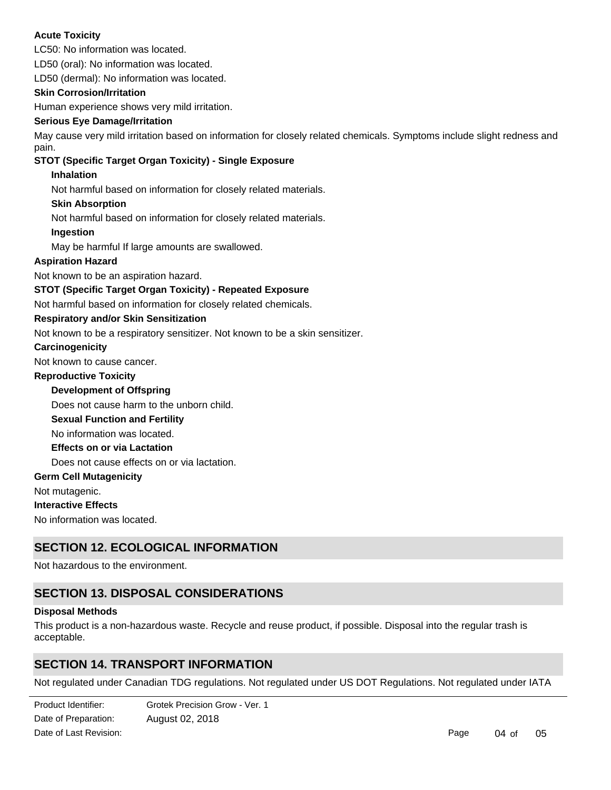### **Acute Toxicity**

LC50: No information was located.

LD50 (oral): No information was located.

LD50 (dermal): No information was located.

### **Skin Corrosion/Irritation**

Human experience shows very mild irritation.

### **Serious Eye Damage/Irritation**

May cause very mild irritation based on information for closely related chemicals. Symptoms include slight redness and pain.

### **STOT (Specific Target Organ Toxicity) - Single Exposure**

### **Inhalation**

Not harmful based on information for closely related materials.

### **Skin Absorption**

Not harmful based on information for closely related materials.

### **Ingestion**

May be harmful If large amounts are swallowed.

### **Aspiration Hazard**

Not known to be an aspiration hazard.

### **STOT (Specific Target Organ Toxicity) - Repeated Exposure**

Not harmful based on information for closely related chemicals.

### **Respiratory and/or Skin Sensitization**

Not known to be a respiratory sensitizer. Not known to be a skin sensitizer.

#### **Carcinogenicity**

Not known to cause cancer.

### **Reproductive Toxicity**

**Development of Offspring**

Does not cause harm to the unborn child.

#### **Sexual Function and Fertility**

No information was located.

### **Effects on or via Lactation**

Does not cause effects on or via lactation.

#### **Germ Cell Mutagenicity**

Not mutagenic.

#### **Interactive Effects**

No information was located.

# **SECTION 12. ECOLOGICAL INFORMATION**

Not hazardous to the environment.

# **SECTION 13. DISPOSAL CONSIDERATIONS**

#### **Disposal Methods**

Regulations.

This product is a non-hazardous waste. Recycle and reuse product, if possible. Disposal into the regular trash is acceptable.

# **SECTION 14. TRANSPORT INFORMATION**

Not regulated under Canadian TDG regulations. Not regulated under US DOT Regulations. Not regulated under IATA

Date of Preparation: August 02, 2018 Product Identifier: Grotek Precision Grow - Ver. 1 Date of Last Revision: